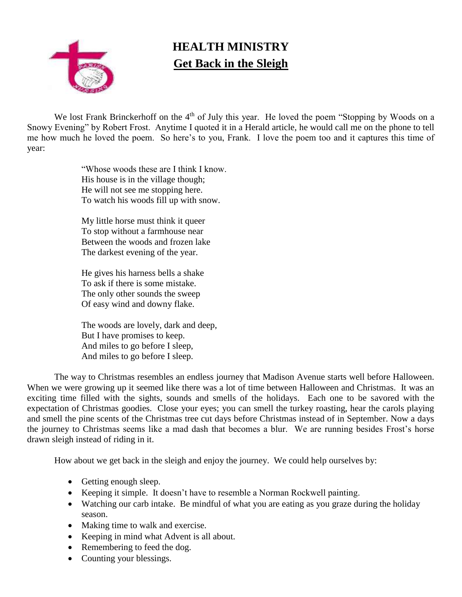

## **HEALTH MINISTRY Get Back in the Sleigh**

We lost Frank Brinckerhoff on the 4<sup>th</sup> of July this year. He loved the poem "Stopping by Woods on a Snowy Evening" by Robert Frost. Anytime I quoted it in a Herald article, he would call me on the phone to tell me how much he loved the poem. So here's to you, Frank. I love the poem too and it captures this time of year:

> "Whose woods these are I think I know. His house is in the village though; He will not see me stopping here. To watch his woods fill up with snow.

My little horse must think it queer To stop without a farmhouse near Between the woods and frozen lake The darkest evening of the year.

He gives his harness bells a shake To ask if there is some mistake. The only other sounds the sweep Of easy wind and downy flake.

The woods are lovely, dark and deep, But I have promises to keep. And miles to go before I sleep, And miles to go before I sleep.

The way to Christmas resembles an endless journey that Madison Avenue starts well before Halloween. When we were growing up it seemed like there was a lot of time between Halloween and Christmas. It was an exciting time filled with the sights, sounds and smells of the holidays. Each one to be savored with the expectation of Christmas goodies. Close your eyes; you can smell the turkey roasting, hear the carols playing and smell the pine scents of the Christmas tree cut days before Christmas instead of in September. Now a days the journey to Christmas seems like a mad dash that becomes a blur. We are running besides Frost's horse drawn sleigh instead of riding in it.

How about we get back in the sleigh and enjoy the journey. We could help ourselves by:

- Getting enough sleep.
- Keeping it simple. It doesn't have to resemble a Norman Rockwell painting.
- Watching our carb intake. Be mindful of what you are eating as you graze during the holiday season.
- Making time to walk and exercise.
- Keeping in mind what Advent is all about.
- Remembering to feed the dog.
- Counting your blessings.